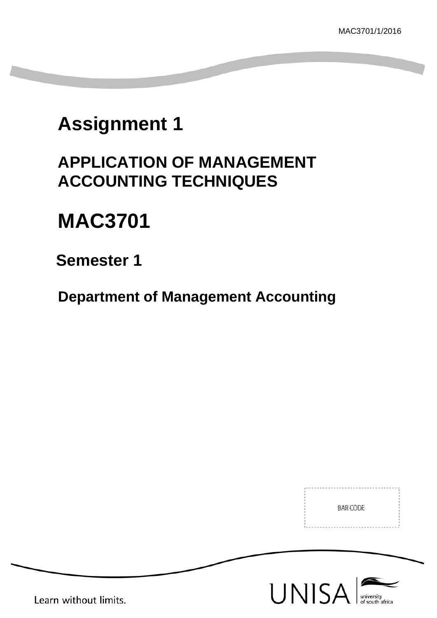# **Assignment 1**

# **APPLICATION OF MANAGEMENT ACCOUNTING TECHNIQUES**

# **MAC3701**

# **Semester 1**

**Department of Management Accounting**

BAR CODE





Learn without limits.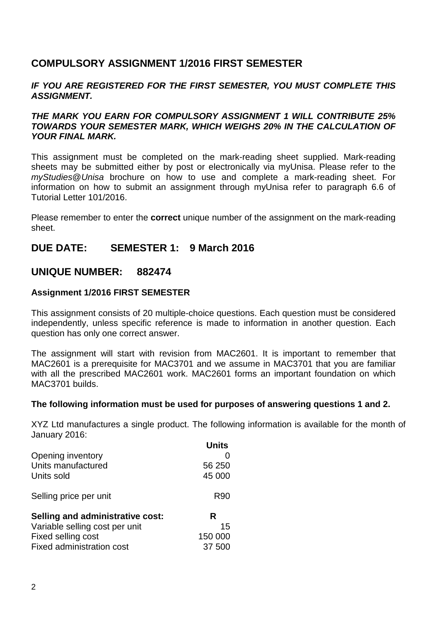# **COMPULSORY ASSIGNMENT 1/2016 FIRST SEMESTER**

#### *IF YOU ARE REGISTERED FOR THE FIRST SEMESTER, YOU MUST COMPLETE THIS ASSIGNMENT.*

#### *THE MARK YOU EARN FOR COMPULSORY ASSIGNMENT 1 WILL CONTRIBUTE 25% TOWARDS YOUR SEMESTER MARK, WHICH WEIGHS 20% IN THE CALCULATION OF YOUR FINAL MARK.*

This assignment must be completed on the mark-reading sheet supplied. Mark-reading sheets may be submitted either by post or electronically via myUnisa. Please refer to the *myStudies*@*Unisa* brochure on how to use and complete a mark-reading sheet. For information on how to submit an assignment through myUnisa refer to paragraph 6.6 of Tutorial Letter 101/2016.

Please remember to enter the **correct** unique number of the assignment on the mark-reading sheet.

### **DUE DATE: SEMESTER 1: 9 March 2016**

#### **UNIQUE NUMBER: 882474**

#### **Assignment 1/2016 FIRST SEMESTER**

This assignment consists of 20 multiple-choice questions. Each question must be considered independently, unless specific reference is made to information in another question. Each question has only one correct answer.

The assignment will start with revision from MAC2601. It is important to remember that MAC2601 is a prerequisite for MAC3701 and we assume in MAC3701 that you are familiar with all the prescribed MAC2601 work. MAC2601 forms an important foundation on which MAC3701 builds.

#### **The following information must be used for purposes of answering questions 1 and 2.**

XYZ Ltd manufactures a single product. The following information is available for the month of January 2016:

| Units   |
|---------|
|         |
| 56 250  |
| 45 000  |
| R90     |
| R       |
| 15      |
| 150 000 |
| 37 500  |
|         |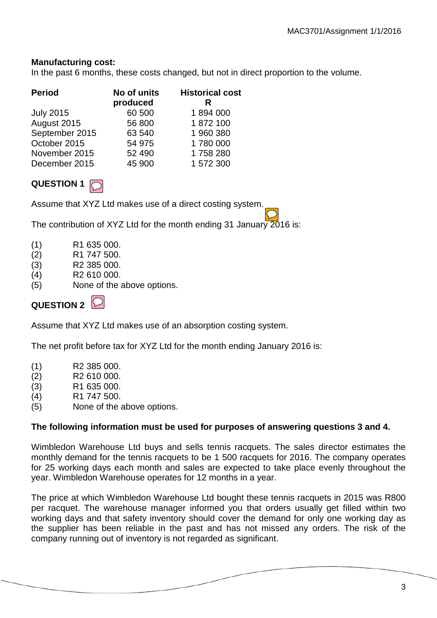#### **Manufacturing cost:**

In the past 6 months, these costs changed, but not in direct proportion to the volume.

| <b>Period</b>    | No of units<br>produced | <b>Historical cost</b><br>R |
|------------------|-------------------------|-----------------------------|
| <b>July 2015</b> | 60 500                  | 1894000                     |
| August 2015      | 56 800                  | 1872100                     |
| September 2015   | 63 540                  | 1 960 380                   |
| October 2015     | 54 975                  | 1780 000                    |
| November 2015    | 52 490                  | 1758280                     |
| December 2015    | 45 900                  | 1 572 300                   |

# **QUESTION 1**

Assume that XYZ Ltd makes use of a direct costing system.

The contribution of XYZ Ltd for the month ending 31 January 2016 is:

- (1) R1 635 000.
- (2) R1 747 500.
- (3) R2 385 000.
- (4) R2 610 000.
- (5) None of the above options.

# QUESTION 2  $\heartsuit$

Assume that XYZ Ltd makes use of an absorption costing system.

The net profit before tax for XYZ Ltd for the month ending January 2016 is:

- (1) R2 385 000.
- (2) R2 610 000.
- (3) R1 635 000.
- (4) R1 747 500.
- (5) None of the above options.

#### **The following information must be used for purposes of answering questions 3 and 4.**

Wimbledon Warehouse Ltd buys and sells tennis racquets. The sales director estimates the monthly demand for the tennis racquets to be 1 500 racquets for 2016. The company operates for 25 working days each month and sales are expected to take place evenly throughout the year. Wimbledon Warehouse operates for 12 months in a year.

The price at which Wimbledon Warehouse Ltd bought these tennis racquets in 2015 was R800 per racquet. The warehouse manager informed you that orders usually get filled within two working days and that safety inventory should cover the demand for only one working day as the supplier has been reliable in the past and has not missed any orders. The risk of the company running out of inventory is not regarded as significant.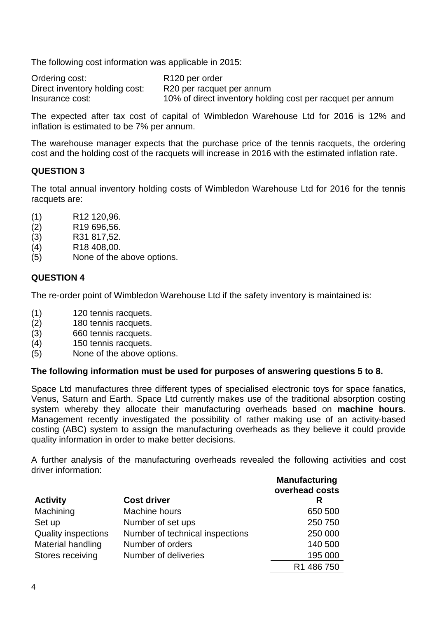The following cost information was applicable in 2015:

| Ordering cost:                 | R <sub>120</sub> per order                                 |
|--------------------------------|------------------------------------------------------------|
| Direct inventory holding cost: | R20 per racquet per annum                                  |
| Insurance cost:                | 10% of direct inventory holding cost per racquet per annum |

The expected after tax cost of capital of Wimbledon Warehouse Ltd for 2016 is 12% and inflation is estimated to be 7% per annum.

The warehouse manager expects that the purchase price of the tennis racquets, the ordering cost and the holding cost of the racquets will increase in 2016 with the estimated inflation rate.

#### **QUESTION 3**

The total annual inventory holding costs of Wimbledon Warehouse Ltd for 2016 for the tennis racquets are:

- (1) R12 120,96.
- (2) R19 696,56.
- (3) R31 817,52.
- (4) R18 408,00.
- (5) None of the above options.

#### **QUESTION 4**

The re-order point of Wimbledon Warehouse Ltd if the safety inventory is maintained is:

- (1) 120 tennis racquets.
- (2) 180 tennis racquets.<br>(3) 660 tennis racquets.
- (3) 660 tennis racquets.
- (4) 150 tennis racquets.
- (5) None of the above options.

#### **The following information must be used for purposes of answering questions 5 to 8.**

Space Ltd manufactures three different types of specialised electronic toys for space fanatics, Venus, Saturn and Earth. Space Ltd currently makes use of the traditional absorption costing system whereby they allocate their manufacturing overheads based on **machine hours**. Management recently investigated the possibility of rather making use of an activity-based costing (ABC) system to assign the manufacturing overheads as they believe it could provide quality information in order to make better decisions.

A further analysis of the manufacturing overheads revealed the following activities and cost driver information:

| <b>Activity</b>            | <b>Cost driver</b>              | <b>Manufacturing</b><br>overhead costs<br>R |
|----------------------------|---------------------------------|---------------------------------------------|
| Machining                  | Machine hours                   | 650 500                                     |
| Set up                     | Number of set ups               | 250 750                                     |
| <b>Quality inspections</b> | Number of technical inspections | 250 000                                     |
| Material handling          | Number of orders                | 140 500                                     |
| Stores receiving           | Number of deliveries            | 195 000                                     |
|                            |                                 | R1 486 750                                  |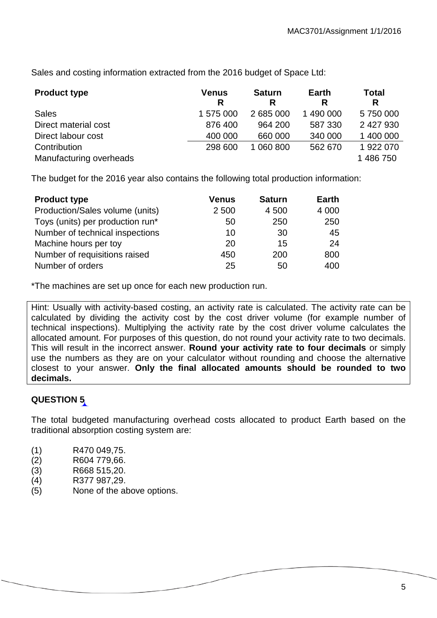Sales and costing information extracted from the 2016 budget of Space Ltd:

| <b>Product type</b>     | Venus<br>R | <b>Saturn</b><br>R | Earth<br>R | <b>Total</b><br>R |
|-------------------------|------------|--------------------|------------|-------------------|
| <b>Sales</b>            | 1 575 000  | 2 685 000          | 1 490 000  | 5750000           |
| Direct material cost    | 876 400    | 964 200            | 587 330    | 2 427 930         |
| Direct labour cost      | 400 000    | 660 000            | 340 000    | 1 400 000         |
| Contribution            | 298 600    | 1 060 800          | 562 670    | 1922070           |
| Manufacturing overheads |            |                    |            | 1 486 750         |

The budget for the 2016 year also contains the following total production information:

| <b>Product type</b>              | <b>Venus</b> | <b>Saturn</b> | <b>Earth</b> |
|----------------------------------|--------------|---------------|--------------|
| Production/Sales volume (units)  | 2 500        | 4 500         | 4 0 0 0      |
| Toys (units) per production run* | 50           | 250           | 250          |
| Number of technical inspections  | 10           | 30            | 45           |
| Machine hours per toy            | 20           | 15            | 24           |
| Number of requisitions raised    | 450          | 200           | 800          |
| Number of orders                 | 25           | 50            | 400          |

\*The machines are set up once for each new production run.

Hint: Usually with activity-based costing, an activity rate is calculated. The activity rate can be calculated by dividing the activity cost by the cost driver volume (for example number of technical inspections). Multiplying the activity rate by the cost driver volume calculates the allocated amount. For purposes of this question, do not round your activity rate to two decimals. This will result in the incorrect answer. **Round your activity rate to four decimals** or simply use the numbers as they are on your calculator without rounding and choose the alternative closest to your answer. **Only the final allocated amounts should be rounded to two decimals.**

# **QUESTION 5**

The total budgeted manufacturing overhead costs allocated to product Earth based on the traditional absorption costing system are:

- (1) R470 049,75.
- (2) R604 779,66.
- (3) R668 515,20.
- (4) R377 987,29.
- (5) None of the above options.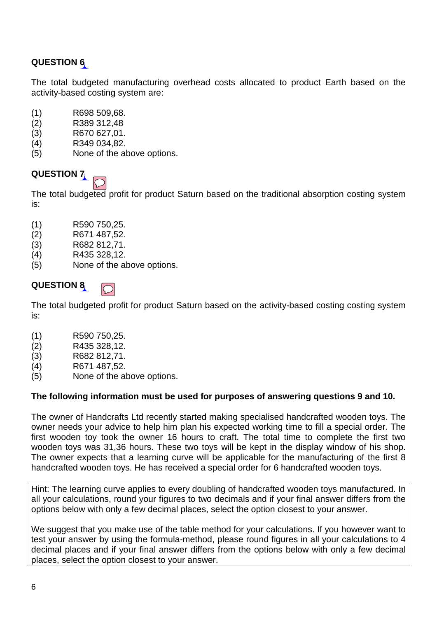The total budgeted manufacturing overhead costs allocated to product Earth based on the activity-based costing system are:

- (1) R698 509,68.
- (2) R389 312,48
- (3) R670 627,01.
- (4) R349 034,82.
- (5) None of the above options.

# **QUESTION 7**



The total budgeted profit for product Saturn based on the traditional absorption costing system is:

- (1) R590 750,25.
- (2) R671 487,52.
- (3) R682 812,71.
- (4) R435 328,12.
- (5) None of the above options.

#### **QUESTION 8**



The total budgeted profit for product Saturn based on the activity-based costing costing system is:

- (1) R590 750,25.
- (2) R435 328,12.
- (3) R682 812,71.
- (4) R671 487,52.
- (5) None of the above options.

#### **The following information must be used for purposes of answering questions 9 and 10.**

The owner of Handcrafts Ltd recently started making specialised handcrafted wooden toys. The owner needs your advice to help him plan his expected working time to fill a special order. The first wooden toy took the owner 16 hours to craft. The total time to complete the first two wooden toys was 31,36 hours. These two toys will be kept in the display window of his shop. The owner expects that a learning curve will be applicable for the manufacturing of the first 8 handcrafted wooden toys. He has received a special order for 6 handcrafted wooden toys.

Hint: The learning curve applies to every doubling of handcrafted wooden toys manufactured. In all your calculations, round your figures to two decimals and if your final answer differs from the options below with only a few decimal places, select the option closest to your answer.

We suggest that you make use of the table method for your calculations. If you however want to test your answer by using the formula-method, please round figures in all your calculations to 4 decimal places and if your final answer differs from the options below with only a few decimal places, select the option closest to your answer.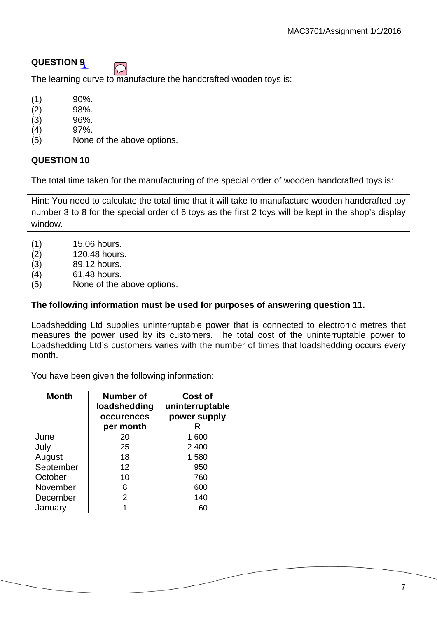

The learning curve to manufacture the handcrafted wooden toys is:

- $(1)$  90%.
- (2) 98%.
- (3) 96%.
- (4) 97%.
- (5) None of the above options.

#### **QUESTION 10**

The total time taken for the manufacturing of the special order of wooden handcrafted toys is:

Hint: You need to calculate the total time that it will take to manufacture wooden handcrafted toy number 3 to 8 for the special order of 6 toys as the first 2 toys will be kept in the shop's display window.

- (1) 15,06 hours.
- (2) 120,48 hours.
- (3) 89,12 hours.
- (4) 61,48 hours.
- (5) None of the above options.

#### **The following information must be used for purposes of answering question 11.**

Loadshedding Ltd supplies uninterruptable power that is connected to electronic metres that measures the power used by its customers. The total cost of the uninterruptable power to Loadshedding Ltd's customers varies with the number of times that loadshedding occurs every month.

You have been given the following information:

| <b>Month</b> | Number of<br>loadshedding<br>occurences<br>per month | Cost of<br>uninterruptable<br>power supply<br>R |
|--------------|------------------------------------------------------|-------------------------------------------------|
| June         | 20                                                   | 1 600                                           |
| July         | 25                                                   | 2 4 0 0                                         |
| August       | 18                                                   | 1580                                            |
| September    | 12                                                   | 950                                             |
| October      | 10                                                   | 760                                             |
| November     | 8                                                    | 600                                             |
| December     | 2                                                    | 140                                             |
| January      |                                                      | 60                                              |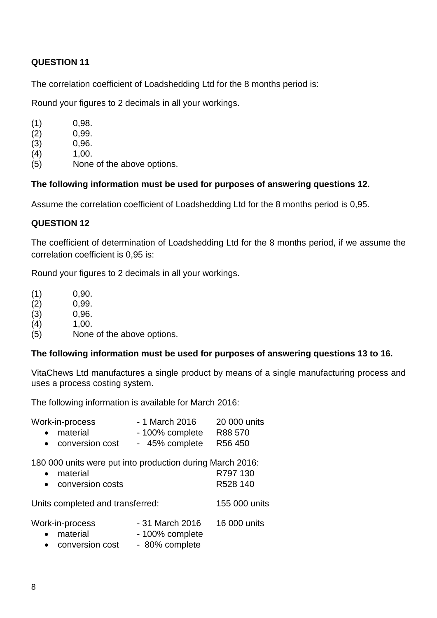The correlation coefficient of Loadshedding Ltd for the 8 months period is:

Round your figures to 2 decimals in all your workings.

- $(1)$  0,98.
- (2)  $0,99$ .<br>(3)  $0,96$ .
- 0,96.
- $(4)$  1,00.
- (5) None of the above options.

#### **The following information must be used for purposes of answering questions 12.**

Assume the correlation coefficient of Loadshedding Ltd for the 8 months period is 0,95.

#### **QUESTION 12**

The coefficient of determination of Loadshedding Ltd for the 8 months period, if we assume the correlation coefficient is 0,95 is:

Round your figures to 2 decimals in all your workings.

- (1)  $0,90.$ <br>(2)  $0,99.$
- (2) 0,99.
- (3) 0,96.
- $(4)$  1,00.
- (5) None of the above options.

#### **The following information must be used for purposes of answering questions 13 to 16.**

VitaChews Ltd manufactures a single product by means of a single manufacturing process and uses a process costing system.

The following information is available for March 2016:

| Work-in-process                                           | - 1 March 2016  | 20 000 units  |
|-----------------------------------------------------------|-----------------|---------------|
| material<br>$\bullet$                                     | - 100% complete | R88 570       |
| conversion cost<br>$\bullet$                              | - 45% complete  | R56 450       |
| 180 000 units were put into production during March 2016: |                 |               |
| material<br>$\bullet$                                     |                 | R797 130      |
| • conversion costs                                        |                 | R528 140      |
| Units completed and transferred:                          |                 | 155 000 units |
|                                                           |                 |               |

| Work-in-process | - 31 March 2016 | 16 000 units |
|-----------------|-----------------|--------------|
| • material      | - 100% complete |              |
|                 |                 |              |

conversion cost - 80% complete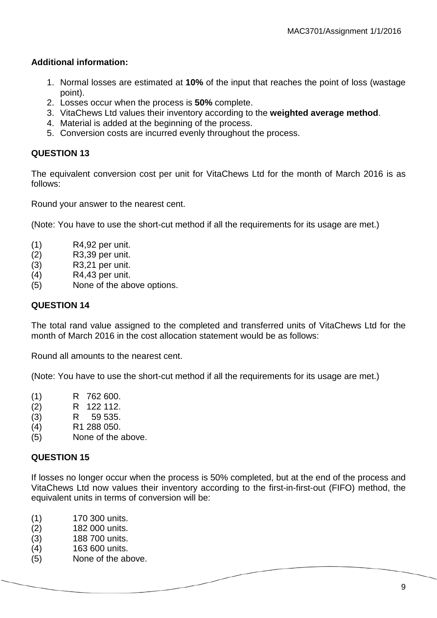#### **Additional information:**

- 1. Normal losses are estimated at **10%** of the input that reaches the point of loss (wastage point).
- 2. Losses occur when the process is **50%** complete.
- 3. VitaChews Ltd values their inventory according to the **weighted average method**.
- 4. Material is added at the beginning of the process.
- 5. Conversion costs are incurred evenly throughout the process.

#### **QUESTION 13**

The equivalent conversion cost per unit for VitaChews Ltd for the month of March 2016 is as follows:

Round your answer to the nearest cent.

(Note: You have to use the short-cut method if all the requirements for its usage are met.)

- (1) R4,92 per unit.
- (2) R3,39 per unit.
- (3) R3,21 per unit.
- (4) R4,43 per unit.
- (5) None of the above options.

#### **QUESTION 14**

The total rand value assigned to the completed and transferred units of VitaChews Ltd for the month of March 2016 in the cost allocation statement would be as follows:

Round all amounts to the nearest cent.

(Note: You have to use the short-cut method if all the requirements for its usage are met.)

- (1) R 762 600.
- (2) R 122 112.
- (3) R 59 535.
- (4) R1 288 050.
- (5) None of the above.

#### **QUESTION 15**

If losses no longer occur when the process is 50% completed, but at the end of the process and VitaChews Ltd now values their inventory according to the first-in-first-out (FIFO) method, the equivalent units in terms of conversion will be:

- (1) 170 300 units.<br>(2) 182 000 units.
- (2) 182 000 units.
- (3) 188 700 units.
- (4) 163 600 units.
- (5) None of the above.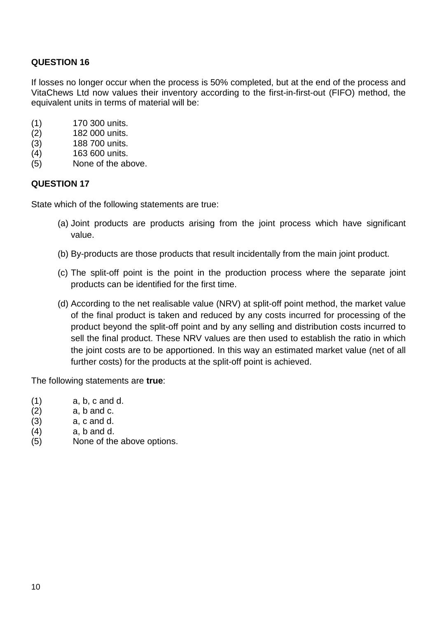If losses no longer occur when the process is 50% completed, but at the end of the process and VitaChews Ltd now values their inventory according to the first-in-first-out (FIFO) method, the equivalent units in terms of material will be:

- (1) 170 300 units.
- (2) 182 000 units.
- (3) 188 700 units.
- (4) 163 600 units.
- (5) None of the above.

#### **QUESTION 17**

State which of the following statements are true:

- (a) Joint products are products arising from the joint process which have significant value.
- (b) By-products are those products that result incidentally from the main joint product.
- (c) The split-off point is the point in the production process where the separate joint products can be identified for the first time.
- (d) According to the net realisable value (NRV) at split-off point method, the market value of the final product is taken and reduced by any costs incurred for processing of the product beyond the split-off point and by any selling and distribution costs incurred to sell the final product. These NRV values are then used to establish the ratio in which the joint costs are to be apportioned. In this way an estimated market value (net of all further costs) for the products at the split-off point is achieved.

The following statements are **true**:

- $(1)$  a, b, c and d.
- $(2)$  a, b and c.
- $(3)$  a, c and d.
- $(4)$  a, b and d.
- (5) None of the above options.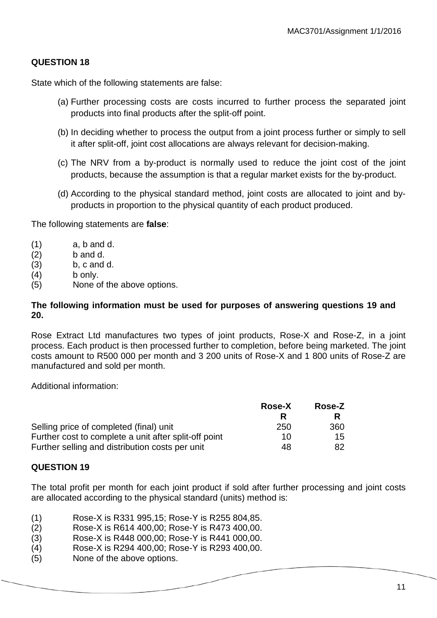State which of the following statements are false:

- (a) Further processing costs are costs incurred to further process the separated joint products into final products after the split-off point.
- (b) In deciding whether to process the output from a joint process further or simply to sell it after split-off, joint cost allocations are always relevant for decision-making.
- (c) The NRV from a by-product is normally used to reduce the joint cost of the joint products, because the assumption is that a regular market exists for the by-product.
- (d) According to the physical standard method, joint costs are allocated to joint and byproducts in proportion to the physical quantity of each product produced.

The following statements are **false**:

- $(1)$  a, b and d.
- (2) b and d.
- $(a)$  b, c and d.
- (4) b only.
- (5) None of the above options.

#### **The following information must be used for purposes of answering questions 19 and 20.**

Rose Extract Ltd manufactures two types of joint products, Rose-X and Rose-Z, in a joint process. Each product is then processed further to completion, before being marketed. The joint costs amount to R500 000 per month and 3 200 units of Rose-X and 1 800 units of Rose-Z are manufactured and sold per month.

Additional information:

|                                                       | <b>Rose-X</b> | Rose-Z |
|-------------------------------------------------------|---------------|--------|
|                                                       |               | R      |
| Selling price of completed (final) unit               | 250           | 360    |
| Further cost to complete a unit after split-off point | 10.           | 15     |
| Further selling and distribution costs per unit       | 48            | 82     |

#### **QUESTION 19**

The total profit per month for each joint product if sold after further processing and joint costs are allocated according to the physical standard (units) method is:

- (1) Rose-X is R331 995,15; Rose-Y is R255 804,85.
- (2) Rose-X is R614 400,00; Rose-Y is R473 400,00.
- (3) Rose-X is R448 000,00; Rose-Y is R441 000,00.
- (4) Rose-X is R294 400,00; Rose-Y is R293 400,00.
- (5) None of the above options.